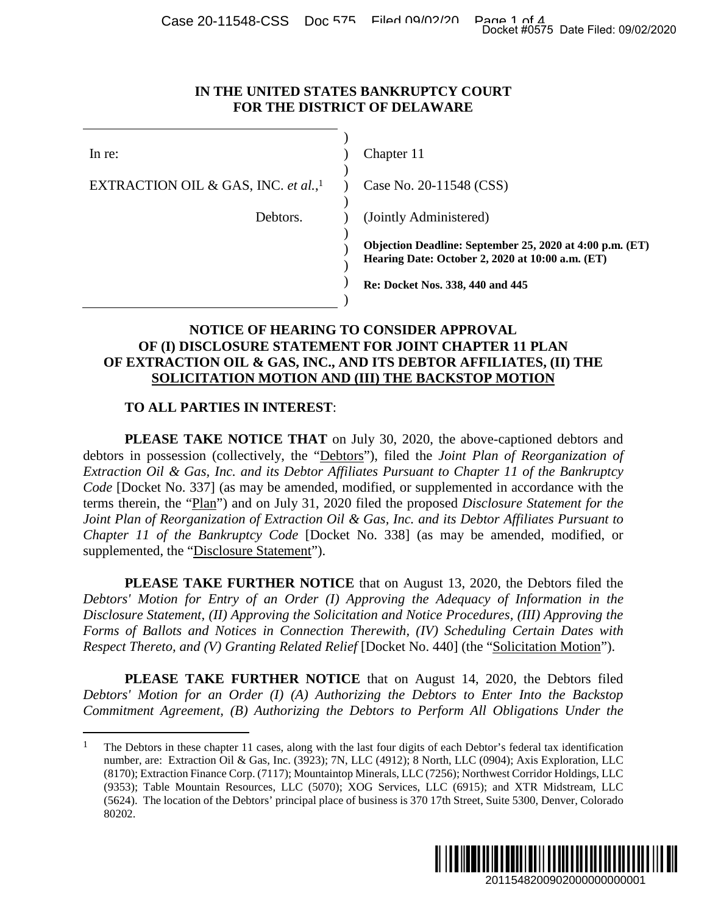#### **IN THE UNITED STATES BANKRUPTCY COURT FOR THE DISTRICT OF DELAWARE**

|                                                                       | Docket #0575 Date Filed: 09/02/2020                                                                                                                                                                                                                                                                                                                                                                                                                                                                                                                                                                                                                                                    |
|-----------------------------------------------------------------------|----------------------------------------------------------------------------------------------------------------------------------------------------------------------------------------------------------------------------------------------------------------------------------------------------------------------------------------------------------------------------------------------------------------------------------------------------------------------------------------------------------------------------------------------------------------------------------------------------------------------------------------------------------------------------------------|
| IN THE UNITED STATES BANKRUPTCY COURT<br>FOR THE DISTRICT OF DELAWARE |                                                                                                                                                                                                                                                                                                                                                                                                                                                                                                                                                                                                                                                                                        |
| In re:                                                                | Chapter 11                                                                                                                                                                                                                                                                                                                                                                                                                                                                                                                                                                                                                                                                             |
| EXTRACTION OIL & GAS, INC. et al., <sup>1</sup>                       | Case No. 20-11548 (CSS)                                                                                                                                                                                                                                                                                                                                                                                                                                                                                                                                                                                                                                                                |
| Debtors.                                                              | (Jointly Administered)                                                                                                                                                                                                                                                                                                                                                                                                                                                                                                                                                                                                                                                                 |
|                                                                       | Objection Deadline: September 25, 2020 at 4:00 p.m. (ET)<br>Hearing Date: October 2, 2020 at 10:00 a.m. (ET)                                                                                                                                                                                                                                                                                                                                                                                                                                                                                                                                                                           |
|                                                                       | Re: Docket Nos. 338, 440 and 445                                                                                                                                                                                                                                                                                                                                                                                                                                                                                                                                                                                                                                                       |
|                                                                       | NOTICE OF HEARING TO CONSIDER APPROVAL<br>OF (I) DISCLOSURE STATEMENT FOR JOINT CHAPTER 11 PLAN<br>OF EXTRACTION OIL & GAS, INC., AND ITS DEBTOR AFFILIATES, (II) THE<br>SOLICITATION MOTION AND (III) THE BACKSTOP MOTION                                                                                                                                                                                                                                                                                                                                                                                                                                                             |
| <b>TO ALL PARTIES IN INTEREST:</b>                                    |                                                                                                                                                                                                                                                                                                                                                                                                                                                                                                                                                                                                                                                                                        |
| supplemented, the "Disclosure Statement").                            | <b>PLEASE TAKE NOTICE THAT</b> on July 30, 2020, the above-captioned debtors and<br>debtors in possession (collectively, the "Debtors"), filed the <i>Joint Plan of Reorganization of</i><br>Extraction Oil & Gas, Inc. and its Debtor Affiliates Pursuant to Chapter 11 of the Bankruptcy<br>Code [Docket No. 337] (as may be amended, modified, or supplemented in accordance with the<br>terms therein, the "Plan") and on July 31, 2020 filed the proposed Disclosure Statement for the<br>Joint Plan of Reorganization of Extraction Oil & Gas, Inc. and its Debtor Affiliates Pursuant to<br>Chapter 11 of the Bankruptcy Code [Docket No. 338] (as may be amended, modified, or |
|                                                                       | <b>PLEASE TAKE FURTHER NOTICE</b> that on August 13, 2020, the Debtors filed the<br>Debtors' Motion for Entry of an Order (I) Approving the Adequacy of Information in the<br>Disclosure Statement, (II) Approving the Solicitation and Notice Procedures, (III) Approving the<br>Forms of Ballots and Notices in Connection Therewith, (IV) Scheduling Certain Dates with<br>Respect Thereto, and (V) Granting Related Relief [Docket No. 440] (the "Solicitation Motion").                                                                                                                                                                                                           |
|                                                                       | PLEASE TAKE FURTHER NOTICE that on August 14, 2020, the Debtors filed<br>Debtors' Motion for an Order (I) (A) Authorizing the Debtors to Enter Into the Backstop<br>Commitment Agreement, (B) Authorizing the Debtors to Perform All Obligations Under the                                                                                                                                                                                                                                                                                                                                                                                                                             |
| 80202.                                                                | The Debtors in these chapter 11 cases, along with the last four digits of each Debtor's federal tax identification<br>number, are: Extraction Oil & Gas, Inc. (3923); 7N, LLC (4912); 8 North, LLC (0904); Axis Exploration, LLC<br>(8170); Extraction Finance Corp. (7117); Mountaintop Minerals, LLC (7256); Northwest Corridor Holdings, LLC<br>(9353); Table Mountain Resources, LLC (5070); XOG Services, LLC (6915); and XTR Midstream, LLC<br>(5624). The location of the Debtors' principal place of business is 370 17th Street, Suite 5300, Denver, Colorado                                                                                                                 |
|                                                                       | 2011548200902000000000001                                                                                                                                                                                                                                                                                                                                                                                                                                                                                                                                                                                                                                                              |

### **NOTICE OF HEARING TO CONSIDER APPROVAL OF (I) DISCLOSURE STATEMENT FOR JOINT CHAPTER 11 PLAN OF EXTRACTION OIL & GAS, INC., AND ITS DEBTOR AFFILIATES, (II) THE SOLICITATION MOTION AND (III) THE BACKSTOP MOTION**

## **TO ALL PARTIES IN INTEREST**:

<span id="page-0-0"></span><sup>&</sup>lt;sup>1</sup> The Debtors in these chapter 11 cases, along with the last four digits of each Debtor's federal tax identification number, are: Extraction Oil & Gas, Inc. (3923); 7N, LLC (4912); 8 North, LLC (0904); Axis Exploration, LLC (8170); Extraction Finance Corp. (7117); Mountaintop Minerals, LLC (7256); Northwest Corridor Holdings, LLC (9353); Table Mountain Resources, LLC (5070); XOG Services, LLC (6915); and XTR Midstream, LLC (5624). The location of the Debtors' principal place of business is 370 17th Street, Suite 5300, Denver, Colorado 80202.

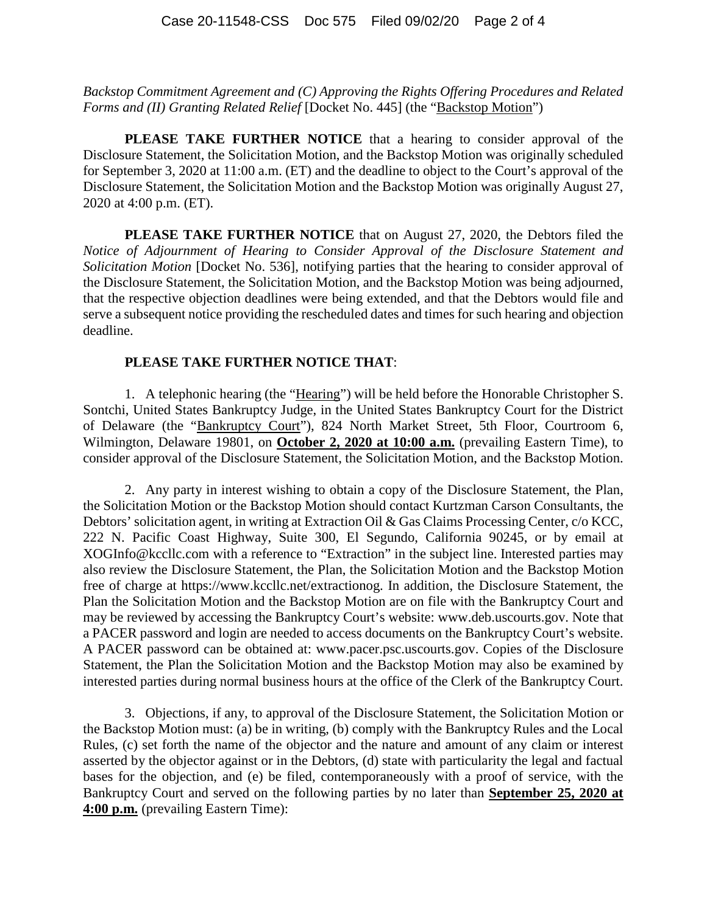*Backstop Commitment Agreement and (C) Approving the Rights Offering Procedures and Related Forms and (II) Granting Related Relief* [Docket No. 445] (the "Backstop Motion")

**PLEASE TAKE FURTHER NOTICE** that a hearing to consider approval of the Disclosure Statement, the Solicitation Motion, and the Backstop Motion was originally scheduled for September 3, 2020 at 11:00 a.m. (ET) and the deadline to object to the Court's approval of the Disclosure Statement, the Solicitation Motion and the Backstop Motion was originally August 27, 2020 at 4:00 p.m. (ET).

**PLEASE TAKE FURTHER NOTICE** that on August 27, 2020, the Debtors filed the *Notice of Adjournment of Hearing to Consider Approval of the Disclosure Statement and Solicitation Motion* [Docket No. 536], notifying parties that the hearing to consider approval of the Disclosure Statement, the Solicitation Motion, and the Backstop Motion was being adjourned, that the respective objection deadlines were being extended, and that the Debtors would file and serve a subsequent notice providing the rescheduled dates and times for such hearing and objection deadline.

#### **PLEASE TAKE FURTHER NOTICE THAT**:

1. A telephonic hearing (the "Hearing") will be held before the Honorable Christopher S. Sontchi, United States Bankruptcy Judge, in the United States Bankruptcy Court for the District of Delaware (the "Bankruptcy Court"), 824 North Market Street, 5th Floor, Courtroom 6, Wilmington, Delaware 19801, on **October 2, 2020 at 10:00 a.m.** (prevailing Eastern Time), to consider approval of the Disclosure Statement, the Solicitation Motion, and the Backstop Motion.

2. Any party in interest wishing to obtain a copy of the Disclosure Statement, the Plan, the Solicitation Motion or the Backstop Motion should contact Kurtzman Carson Consultants, the Debtors' solicitation agent, in writing at Extraction Oil & Gas Claims Processing Center, c/o KCC, 222 N. Pacific Coast Highway, Suite 300, El Segundo, California 90245, or by email at XOGInfo@kccllc.com with a reference to "Extraction" in the subject line. Interested parties may also review the Disclosure Statement, the Plan, the Solicitation Motion and the Backstop Motion free of charge at https://www.kccllc.net/extractionog. In addition, the Disclosure Statement, the Plan the Solicitation Motion and the Backstop Motion are on file with the Bankruptcy Court and may be reviewed by accessing the Bankruptcy Court's website: www.deb.uscourts.gov. Note that a PACER password and login are needed to access documents on the Bankruptcy Court's website. A PACER password can be obtained at: www.pacer.psc.uscourts.gov. Copies of the Disclosure Statement, the Plan the Solicitation Motion and the Backstop Motion may also be examined by interested parties during normal business hours at the office of the Clerk of the Bankruptcy Court.

3. Objections, if any, to approval of the Disclosure Statement, the Solicitation Motion or the Backstop Motion must: (a) be in writing, (b) comply with the Bankruptcy Rules and the Local Rules, (c) set forth the name of the objector and the nature and amount of any claim or interest asserted by the objector against or in the Debtors, (d) state with particularity the legal and factual bases for the objection, and (e) be filed, contemporaneously with a proof of service, with the Bankruptcy Court and served on the following parties by no later than **September 25, 2020 at 4:00 p.m.** (prevailing Eastern Time):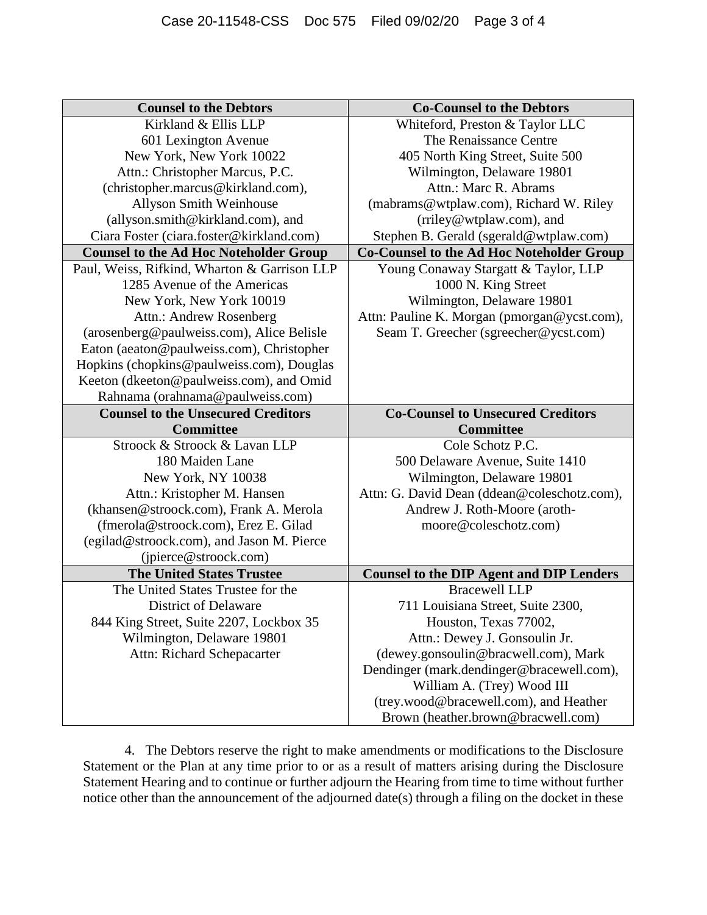| <b>Counsel to the Debtors</b>                 | <b>Co-Counsel to the Debtors</b>                 |
|-----------------------------------------------|--------------------------------------------------|
| Kirkland & Ellis LLP                          | Whiteford, Preston & Taylor LLC                  |
| 601 Lexington Avenue                          | The Renaissance Centre                           |
| New York, New York 10022                      | 405 North King Street, Suite 500                 |
| Attn.: Christopher Marcus, P.C.               | Wilmington, Delaware 19801                       |
| (christopher.marcus@kirkland.com),            | Attn.: Marc R. Abrams                            |
| <b>Allyson Smith Weinhouse</b>                | (mabrams@wtplaw.com), Richard W. Riley           |
| (allyson.smith@kirkland.com), and             | (rriley@wtplaw.com), and                         |
| Ciara Foster (ciara.foster@kirkland.com)      | Stephen B. Gerald (sgerald@wtplaw.com)           |
| <b>Counsel to the Ad Hoc Noteholder Group</b> | <b>Co-Counsel to the Ad Hoc Noteholder Group</b> |
| Paul, Weiss, Rifkind, Wharton & Garrison LLP  | Young Conaway Stargatt & Taylor, LLP             |
| 1285 Avenue of the Americas                   | 1000 N. King Street                              |
| New York, New York 10019                      | Wilmington, Delaware 19801                       |
| Attn.: Andrew Rosenberg                       | Attn: Pauline K. Morgan (pmorgan@ycst.com),      |
| (arosenberg@paulweiss.com), Alice Belisle     | Seam T. Greecher (sgreecher@ycst.com)            |
| Eaton (aeaton@paulweiss.com), Christopher     |                                                  |
| Hopkins (chopkins@paulweiss.com), Douglas     |                                                  |
| Keeton (dkeeton@paulweiss.com), and Omid      |                                                  |
| Rahnama (orahnama@paulweiss.com)              |                                                  |
| <b>Counsel to the Unsecured Creditors</b>     | <b>Co-Counsel to Unsecured Creditors</b>         |
|                                               |                                                  |
| <b>Committee</b>                              | <b>Committee</b>                                 |
| Stroock & Stroock & Lavan LLP                 | Cole Schotz P.C.                                 |
| 180 Maiden Lane                               | 500 Delaware Avenue, Suite 1410                  |
| New York, NY 10038                            | Wilmington, Delaware 19801                       |
| Attn.: Kristopher M. Hansen                   | Attn: G. David Dean (ddean@coleschotz.com),      |
| (khansen@stroock.com), Frank A. Merola        | Andrew J. Roth-Moore (aroth-                     |
| (fmerola@stroock.com), Erez E. Gilad          | moore@coleschotz.com)                            |
| (egilad@stroock.com), and Jason M. Pierce     |                                                  |
| (jpierce@stroock.com)                         |                                                  |
| <b>The United States Trustee</b>              | <b>Counsel to the DIP Agent and DIP Lenders</b>  |
| The United States Trustee for the             | <b>Bracewell LLP</b>                             |
| <b>District of Delaware</b>                   | 711 Louisiana Street, Suite 2300,                |
| 844 King Street, Suite 2207, Lockbox 35       | Houston, Texas 77002,                            |
| Wilmington, Delaware 19801                    | Attn.: Dewey J. Gonsoulin Jr.                    |
| Attn: Richard Schepacarter                    | (dewey.gonsoulin@bracwell.com), Mark             |
|                                               | Dendinger (mark.dendinger@bracewell.com),        |
|                                               | William A. (Trey) Wood III                       |
|                                               | (trey.wood@bracewell.com), and Heather           |

4. The Debtors reserve the right to make amendments or modifications to the Disclosure Statement or the Plan at any time prior to or as a result of matters arising during the Disclosure Statement Hearing and to continue or further adjourn the Hearing from time to time without further notice other than the announcement of the adjourned date(s) through a filing on the docket in these